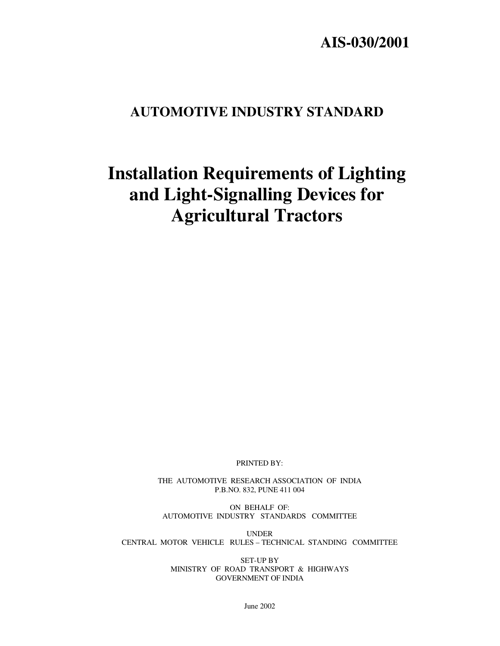# **AIS-030/2001**

# **AUTOMOTIVE INDUSTRY STANDARD**

# **Installation Requirements of Lighting and Light-Signalling Devices for Agricultural Tractors**

PRINTED BY:

THE AUTOMOTIVE RESEARCH ASSOCIATION OF INDIA P.B.NO. 832, PUNE 411 004

ON BEHALF OF: AUTOMOTIVE INDUSTRY STANDARDS COMMITTEE

UNDER CENTRAL MOTOR VEHICLE RULES – TECHNICAL STANDING COMMITTEE

> SET-UP BY MINISTRY OF ROAD TRANSPORT & HIGHWAYS GOVERNMENT OF INDIA

> > June 2002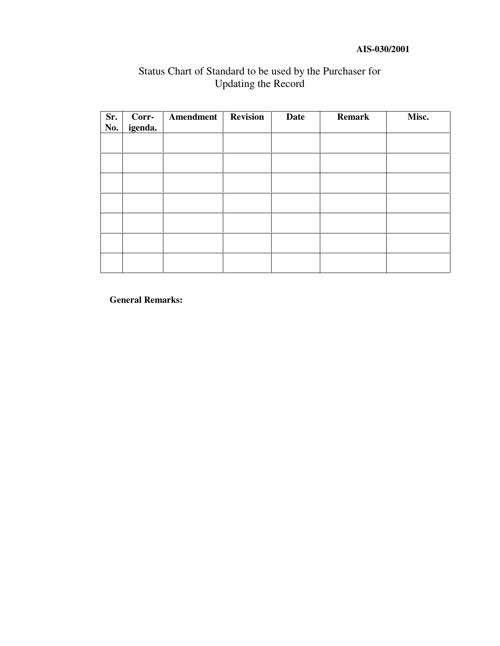#### **AIS-030/2001**

| Sr.<br>No. | Corr-<br>igenda. | Amendment | <b>Revision</b> | <b>Date</b> | <b>Remark</b> | Misc. |
|------------|------------------|-----------|-----------------|-------------|---------------|-------|
|            |                  |           |                 |             |               |       |
|            |                  |           |                 |             |               |       |
|            |                  |           |                 |             |               |       |
|            |                  |           |                 |             |               |       |
|            |                  |           |                 |             |               |       |
|            |                  |           |                 |             |               |       |
|            |                  |           |                 |             |               |       |

# Status Chart of Standard to be used by the Purchaser for Updating the Record

**General Remarks:**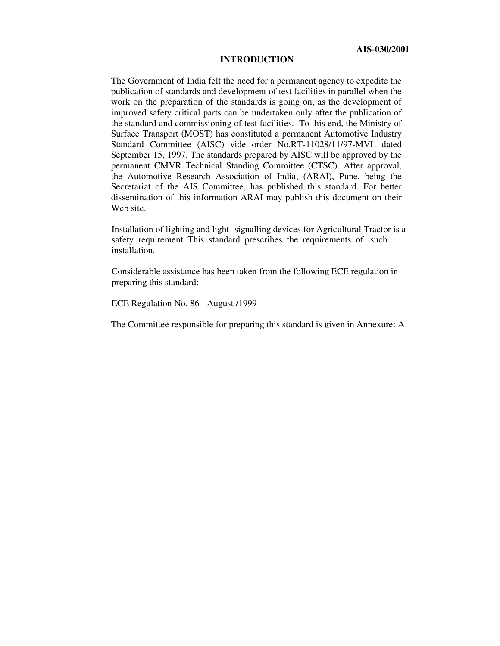#### **INTRODUCTION**

The Government of India felt the need for a permanent agency to expedite the publication of standards and development of test facilities in parallel when the work on the preparation of the standards is going on, as the development of improved safety critical parts can be undertaken only after the publication of the standard and commissioning of test facilities. To this end, the Ministry of Surface Transport (MOST) has constituted a permanent Automotive Industry Standard Committee (AISC) vide order No.RT-11028/11/97-MVL dated September 15, 1997. The standards prepared by AISC will be approved by the permanent CMVR Technical Standing Committee (CTSC). After approval, the Automotive Research Association of India, (ARAI), Pune, being the Secretariat of the AIS Committee, has published this standard. For better dissemination of this information ARAI may publish this document on their Web site.

Installation of lighting and light- signalling devices for Agricultural Tractor is a safety requirement. This standard prescribes the requirements of such installation.

Considerable assistance has been taken from the following ECE regulation in preparing this standard:

ECE Regulation No. 86 - August /1999

The Committee responsible for preparing this standard is given in Annexure: A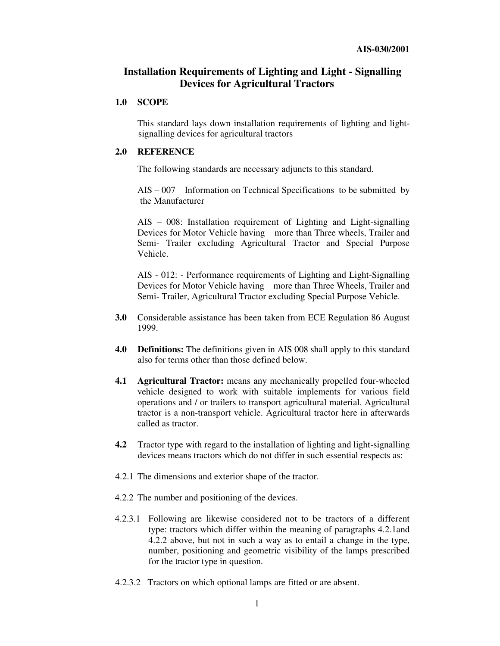# **Installation Requirements of Lighting and Light - Signalling Devices for Agricultural Tractors**

#### **1.0 SCOPE**

This standard lays down installation requirements of lighting and lightsignalling devices for agricultural tractors

#### **2.0 REFERENCE**

The following standards are necessary adjuncts to this standard.

AIS – 007 Information on Technical Specifications to be submitted by the Manufacturer

AIS – 008: Installation requirement of Lighting and Light-signalling Devices for Motor Vehicle having more than Three wheels, Trailer and Semi- Trailer excluding Agricultural Tractor and Special Purpose Vehicle.

AIS - 012: - Performance requirements of Lighting and Light-Signalling Devices for Motor Vehicle having more than Three Wheels, Trailer and Semi- Trailer, Agricultural Tractor excluding Special Purpose Vehicle.

- **3.0** Considerable assistance has been taken from ECE Regulation 86 August 1999.
- **4.0 Definitions:** The definitions given in AIS 008 shall apply to this standard also for terms other than those defined below.
- **4.1 Agricultural Tractor:** means any mechanically propelled four-wheeled vehicle designed to work with suitable implements for various field operations and / or trailers to transport agricultural material. Agricultural tractor is a non-transport vehicle. Agricultural tractor here in afterwards called as tractor.
- **4.2** Tractor type with regard to the installation of lighting and light-signalling devices means tractors which do not differ in such essential respects as:
- 4.2.1 The dimensions and exterior shape of the tractor.
- 4.2.2 The number and positioning of the devices.
- 4.2.3.1 Following are likewise considered not to be tractors of a different type: tractors which differ within the meaning of paragraphs 4.2.1and 4.2.2 above, but not in such a way as to entail a change in the type, number, positioning and geometric visibility of the lamps prescribed for the tractor type in question.
- 4.2.3.2 Tractors on which optional lamps are fitted or are absent.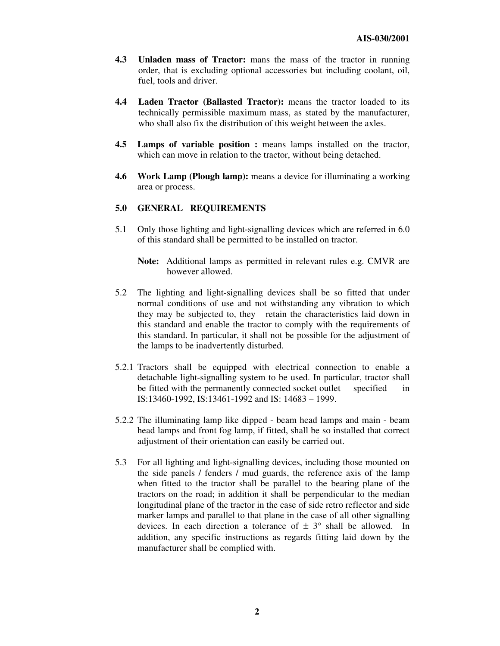- **4.3 Unladen mass of Tractor:** mans the mass of the tractor in running order, that is excluding optional accessories but including coolant, oil, fuel, tools and driver.
- **4.4 Laden Tractor (Ballasted Tractor):** means the tractor loaded to its technically permissible maximum mass, as stated by the manufacturer, who shall also fix the distribution of this weight between the axles.
- **4.5 Lamps of variable position :** means lamps installed on the tractor, which can move in relation to the tractor, without being detached.
- **4.6 Work Lamp (Plough lamp):** means a device for illuminating a working area or process.

#### **5.0 GENERAL REQUIREMENTS**

- 5.1 Only those lighting and light-signalling devices which are referred in 6.0 of this standard shall be permitted to be installed on tractor.
	- **Note:** Additional lamps as permitted in relevant rules e.g. CMVR are however allowed.
- 5.2 The lighting and light-signalling devices shall be so fitted that under normal conditions of use and not withstanding any vibration to which they may be subjected to, they retain the characteristics laid down in this standard and enable the tractor to comply with the requirements of this standard. In particular, it shall not be possible for the adjustment of the lamps to be inadvertently disturbed.
- 5.2.1 Tractors shall be equipped with electrical connection to enable a detachable light-signalling system to be used. In particular, tractor shall be fitted with the permanently connected socket outlet specified in IS:13460-1992, IS:13461-1992 and IS: 14683 – 1999.
- 5.2.2 The illuminating lamp like dipped beam head lamps and main beam head lamps and front fog lamp, if fitted, shall be so installed that correct adjustment of their orientation can easily be carried out.
- 5.3 For all lighting and light-signalling devices, including those mounted on the side panels / fenders / mud guards, the reference axis of the lamp when fitted to the tractor shall be parallel to the bearing plane of the tractors on the road; in addition it shall be perpendicular to the median longitudinal plane of the tractor in the case of side retro reflector and side marker lamps and parallel to that plane in the case of all other signalling devices. In each direction a tolerance of  $\pm$  3° shall be allowed. In addition, any specific instructions as regards fitting laid down by the manufacturer shall be complied with.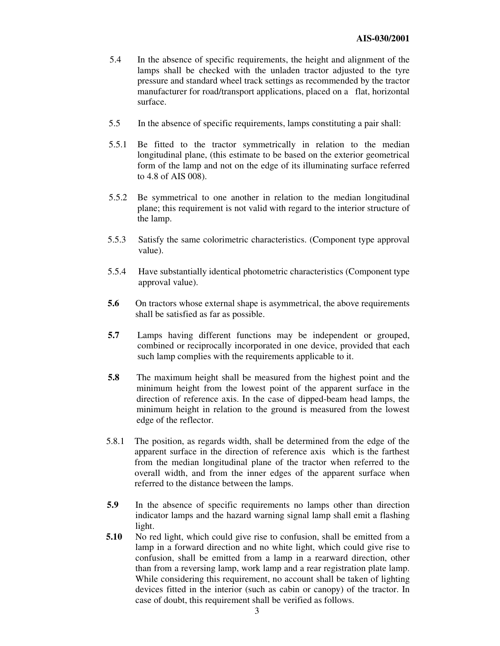- 5.4 In the absence of specific requirements, the height and alignment of the lamps shall be checked with the unladen tractor adjusted to the tyre pressure and standard wheel track settings as recommended by the tractor manufacturer for road/transport applications, placed on a flat, horizontal surface.
- 5.5 In the absence of specific requirements, lamps constituting a pair shall:
- 5.5.1 Be fitted to the tractor symmetrically in relation to the median longitudinal plane, (this estimate to be based on the exterior geometrical form of the lamp and not on the edge of its illuminating surface referred to 4.8 of AIS 008).
- 5.5.2 Be symmetrical to one another in relation to the median longitudinal plane; this requirement is not valid with regard to the interior structure of the lamp.
- 5.5.3 Satisfy the same colorimetric characteristics. (Component type approval value).
- 5.5.4 Have substantially identical photometric characteristics (Component type approval value).
- **5.6** On tractors whose external shape is asymmetrical, the above requirements shall be satisfied as far as possible.
- **5.7** Lamps having different functions may be independent or grouped, combined or reciprocally incorporated in one device, provided that each such lamp complies with the requirements applicable to it.
- **5.8** The maximum height shall be measured from the highest point and the minimum height from the lowest point of the apparent surface in the direction of reference axis. In the case of dipped-beam head lamps, the minimum height in relation to the ground is measured from the lowest edge of the reflector.
- 5.8.1 The position, as regards width, shall be determined from the edge of the apparent surface in the direction of reference axis which is the farthest from the median longitudinal plane of the tractor when referred to the overall width, and from the inner edges of the apparent surface when referred to the distance between the lamps.
- **5.9** In the absence of specific requirements no lamps other than direction indicator lamps and the hazard warning signal lamp shall emit a flashing light.
- **5.10** No red light, which could give rise to confusion, shall be emitted from a lamp in a forward direction and no white light, which could give rise to confusion, shall be emitted from a lamp in a rearward direction, other than from a reversing lamp, work lamp and a rear registration plate lamp. While considering this requirement, no account shall be taken of lighting devices fitted in the interior (such as cabin or canopy) of the tractor. In case of doubt, this requirement shall be verified as follows.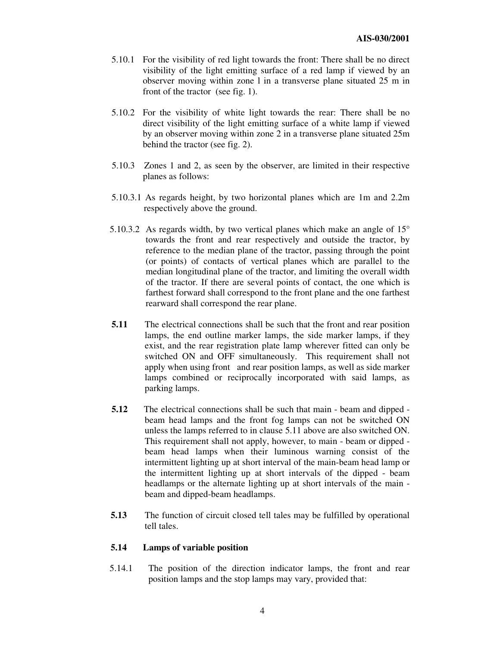- 5.10.1 For the visibility of red light towards the front: There shall be no direct visibility of the light emitting surface of a red lamp if viewed by an observer moving within zone l in a transverse plane situated 25 m in front of the tractor (see fig. 1).
- 5.10.2 For the visibility of white light towards the rear: There shall be no direct visibility of the light emitting surface of a white lamp if viewed by an observer moving within zone 2 in a transverse plane situated 25m behind the tractor (see fig. 2).
- 5.10.3 Zones 1 and 2, as seen by the observer, are limited in their respective planes as follows:
- 5.10.3.1 As regards height, by two horizontal planes which are 1m and 2.2m respectively above the ground.
- 5.10.3.2 As regards width, by two vertical planes which make an angle of 15° towards the front and rear respectively and outside the tractor, by reference to the median plane of the tractor, passing through the point (or points) of contacts of vertical planes which are parallel to the median longitudinal plane of the tractor, and limiting the overall width of the tractor. If there are several points of contact, the one which is farthest forward shall correspond to the front plane and the one farthest rearward shall correspond the rear plane.
- **5.11** The electrical connections shall be such that the front and rear position lamps, the end outline marker lamps, the side marker lamps, if they exist, and the rear registration plate lamp wherever fitted can only be switched ON and OFF simultaneously. This requirement shall not apply when using front and rear position lamps, as well as side marker lamps combined or reciprocally incorporated with said lamps, as parking lamps.
- **5.12** The electrical connections shall be such that main beam and dipped beam head lamps and the front fog lamps can not be switched ON unless the lamps referred to in clause 5.11 above are also switched ON. This requirement shall not apply, however, to main - beam or dipped beam head lamps when their luminous warning consist of the intermittent lighting up at short interval of the main-beam head lamp or the intermittent lighting up at short intervals of the dipped - beam headlamps or the alternate lighting up at short intervals of the main beam and dipped-beam headlamps.
- **5.13** The function of circuit closed tell tales may be fulfilled by operational tell tales.

# **5.14 Lamps of variable position**

5.14.1 The position of the direction indicator lamps, the front and rear position lamps and the stop lamps may vary, provided that: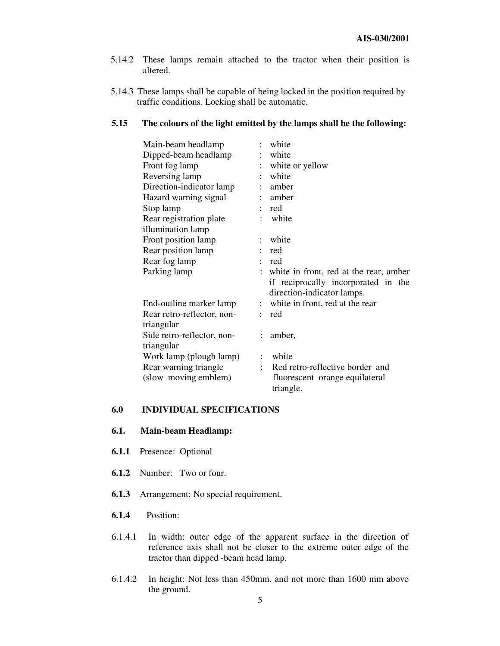- 5.14.2 These lamps remain attached to the tractor when their position is altered.
- 5.14.3 These lamps shall be capable of being locked in the position required by traffic conditions. Locking shall be automatic.

#### **5.15 The colours of the light emitted by the lamps shall be the following:**

| Main-beam headlamp         |                      | white                                  |
|----------------------------|----------------------|----------------------------------------|
| Dipped-beam headlamp       |                      | white                                  |
| Front fog lamp             |                      | white or yellow                        |
| Reversing lamp             |                      | white                                  |
| Direction-indicator lamp   |                      | amber                                  |
| Hazard warning signal      |                      | amber                                  |
| Stop lamp                  |                      | red                                    |
| Rear registration plate    |                      | white                                  |
| illumination lamp          |                      |                                        |
| Front position lamp        |                      | white                                  |
| Rear position lamp         |                      | red                                    |
| Rear fog lamp              |                      | red                                    |
| Parking lamp               |                      | white in front, red at the rear, amber |
|                            |                      | if reciprocally incorporated in the    |
|                            |                      | direction-indicator lamps.             |
| End-outline marker lamp    | $\ddot{\phantom{a}}$ | white in front, red at the rear        |
| Rear retro-reflector, non- |                      | red                                    |
| triangular                 |                      |                                        |
| Side retro-reflector, non- | $\ddot{\phantom{0}}$ | amber,                                 |
| triangular                 |                      |                                        |
| Work lamp (plough lamp)    |                      | white                                  |
| Rear warning triangle      |                      | Red retro-reflective border and        |
| (slow moving emblem)       |                      | fluorescent orange equilateral         |
|                            |                      | triangle.                              |

#### **6.0 INDIVIDUAL SPECIFICATIONS**

# **6.1. Main-beam Headlamp:**

- **6.1.1** Presence: Optional
- **6.1.2** Number: Two or four.
- **6.1.3** Arrangement: No special requirement.
- **6.1.4** Position:
- 6.1.4.1 In width: outer edge of the apparent surface in the direction of reference axis shall not be closer to the extreme outer edge of the tractor than dipped -beam head lamp.
- 6.1.4.2 In height: Not less than 450mm. and not more than 1600 mm above the ground.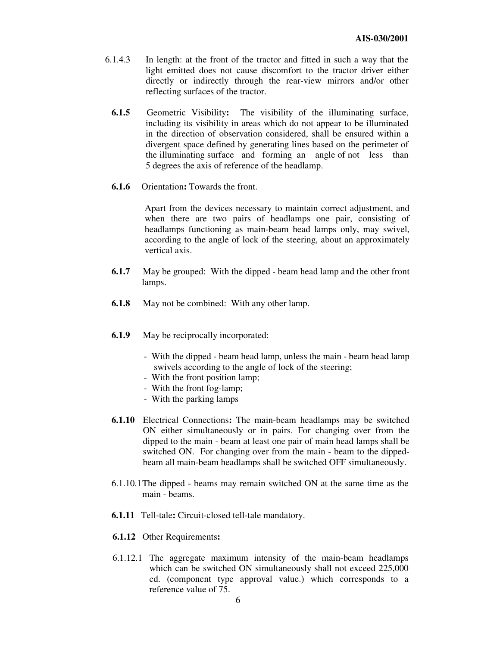- 6.1.4.3 In length: at the front of the tractor and fitted in such a way that the light emitted does not cause discomfort to the tractor driver either directly or indirectly through the rear-view mirrors and/or other reflecting surfaces of the tractor.
	- **6.1.5** Geometric Visibility**:** The visibility of the illuminating surface, including its visibility in areas which do not appear to be illuminated in the direction of observation considered, shall be ensured within a divergent space defined by generating lines based on the perimeter of the illuminating surface and forming an angle of not less than 5 degrees the axis of reference of the headlamp.
	- **6.1.6** Orientation**:** Towards the front.

Apart from the devices necessary to maintain correct adjustment, and when there are two pairs of headlamps one pair, consisting of headlamps functioning as main-beam head lamps only, may swivel, according to the angle of lock of the steering, about an approximately vertical axis.

- **6.1.7** May be grouped: With the dipped beam head lamp and the other front lamps.
- **6.1.8** May not be combined: With any other lamp.
- **6.1.9** May be reciprocally incorporated:
	- With the dipped beam head lamp, unless the main beam head lamp swivels according to the angle of lock of the steering;
	- With the front position lamp;
	- With the front fog-lamp;
	- With the parking lamps
- **6.1.10** Electrical Connections**:** The main-beam headlamps may be switched ON either simultaneously or in pairs. For changing over from the dipped to the main - beam at least one pair of main head lamps shall be switched ON. For changing over from the main - beam to the dippedbeam all main-beam headlamps shall be switched OFF simultaneously.
- 6.1.10.1The dipped beams may remain switched ON at the same time as the main - beams.
- **6.1.11** Tell-tale**:** Circuit-closed tell-tale mandatory.
- **6.1.12** Other Requirements**:**
- 6.1.12.1 The aggregate maximum intensity of the main-beam headlamps which can be switched ON simultaneously shall not exceed  $225,000$ cd. (component type approval value.) which corresponds to a reference value of 75.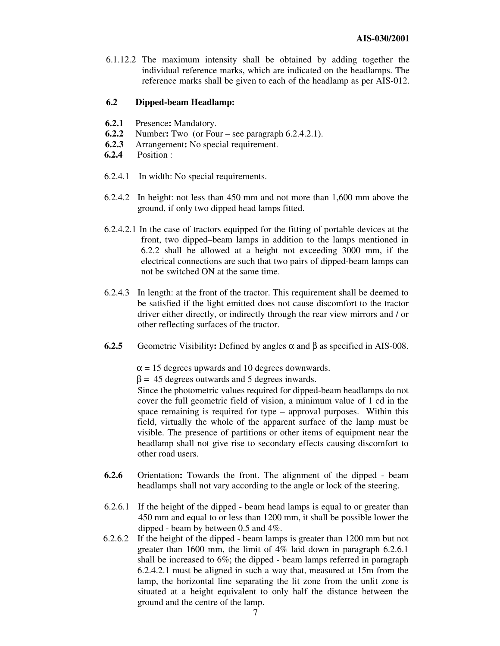6.1.12.2 The maximum intensity shall be obtained by adding together the individual reference marks, which are indicated on the headlamps. The reference marks shall be given to each of the headlamp as per AIS-012.

#### **6.2 Dipped-beam Headlamp:**

- **6.2.1** Presence**:** Mandatory.
- **6.2.2** Number**:** Two (or Four see paragraph 6.2.4.2.1).
- **6.2.3** Arrangement**:** No special requirement.
- **6.2.4** Position :
- 6.2.4.1 In width: No special requirements.
- 6.2.4.2 In height: not less than 450 mm and not more than 1,600 mm above the ground, if only two dipped head lamps fitted.
- 6.2.4.2.1 In the case of tractors equipped for the fitting of portable devices at the front, two dipped–beam lamps in addition to the lamps mentioned in 6.2.2 shall be allowed at a height not exceeding 3000 mm, if the electrical connections are such that two pairs of dipped-beam lamps can not be switched ON at the same time.
- 6.2.4.3 In length: at the front of the tractor. This requirement shall be deemed to be satisfied if the light emitted does not cause discomfort to the tractor driver either directly, or indirectly through the rear view mirrors and / or other reflecting surfaces of the tractor.
- **6.2.5** Geometric Visibility**:** Defined by angles α and β as specified in AIS-008.

 $\alpha$  = 15 degrees upwards and 10 degrees downwards.

 $β = 45$  degrees outwards and 5 degrees inwards.

Since the photometric values required for dipped-beam headlamps do not cover the full geometric field of vision, a minimum value of 1 cd in the space remaining is required for type – approval purposes. Within this field, virtually the whole of the apparent surface of the lamp must be visible. The presence of partitions or other items of equipment near the headlamp shall not give rise to secondary effects causing discomfort to other road users.

- **6.2.6** Orientation**:** Towards the front. The alignment of the dipped beam headlamps shall not vary according to the angle or lock of the steering.
- 6.2.6.1 If the height of the dipped beam head lamps is equal to or greater than 450 mm and equal to or less than 1200 mm, it shall be possible lower the dipped - beam by between 0.5 and 4%.
- 6.2.6.2 If the height of the dipped beam lamps is greater than 1200 mm but not greater than 1600 mm, the limit of 4% laid down in paragraph 6.2.6.1 shall be increased to 6%; the dipped - beam lamps referred in paragraph 6.2.4.2.1 must be aligned in such a way that, measured at 15m from the lamp, the horizontal line separating the lit zone from the unlit zone is situated at a height equivalent to only half the distance between the ground and the centre of the lamp.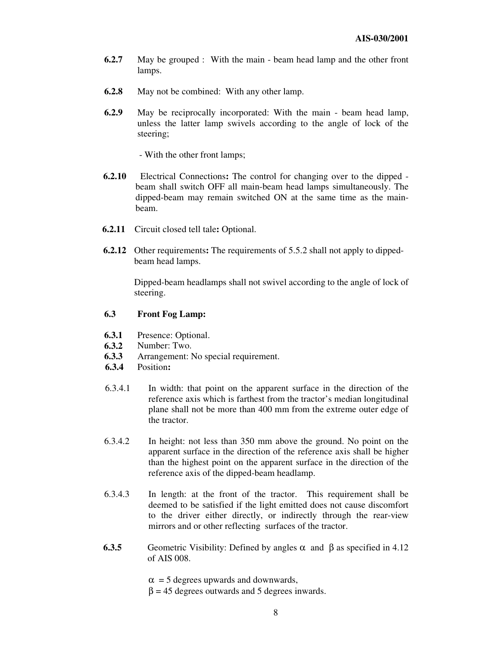- **6.2.7** May be grouped : With the main beam head lamp and the other front lamps.
- **6.2.8** May not be combined: With any other lamp.
- **6.2.9** May be reciprocally incorporated: With the main beam head lamp, unless the latter lamp swivels according to the angle of lock of the steering;

- With the other front lamps;

- **6.2.10** Electrical Connections**:** The control for changing over to the dipped beam shall switch OFF all main-beam head lamps simultaneously. The dipped-beam may remain switched ON at the same time as the mainbeam.
- **6.2.11** Circuit closed tell tale**:** Optional.
- **6.2.12** Other requirements**:** The requirements of 5.5.2 shall not apply to dippedbeam head lamps.

Dipped-beam headlamps shall not swivel according to the angle of lock of steering.

#### **6.3 Front Fog Lamp:**

- **6.3.1** Presence: Optional.
- **6.3.2** Number: Two.
- **6.3.3** Arrangement: No special requirement.
- **6.3.4** Position**:**
- 6.3.4.1 In width: that point on the apparent surface in the direction of the reference axis which is farthest from the tractor's median longitudinal plane shall not be more than 400 mm from the extreme outer edge of the tractor.
- 6.3.4.2 In height: not less than 350 mm above the ground. No point on the apparent surface in the direction of the reference axis shall be higher than the highest point on the apparent surface in the direction of the reference axis of the dipped-beam headlamp.
- 6.3.4.3 In length: at the front of the tractor. This requirement shall be deemed to be satisfied if the light emitted does not cause discomfort to the driver either directly, or indirectly through the rear-view mirrors and or other reflecting surfaces of the tractor.
- **6.3.5** Geometric Visibility: Defined by angles α and β as specified in 4.12 of AIS 008.

 $\alpha$  = 5 degrees upwards and downwards,

 $β = 45$  degrees outwards and 5 degrees inwards.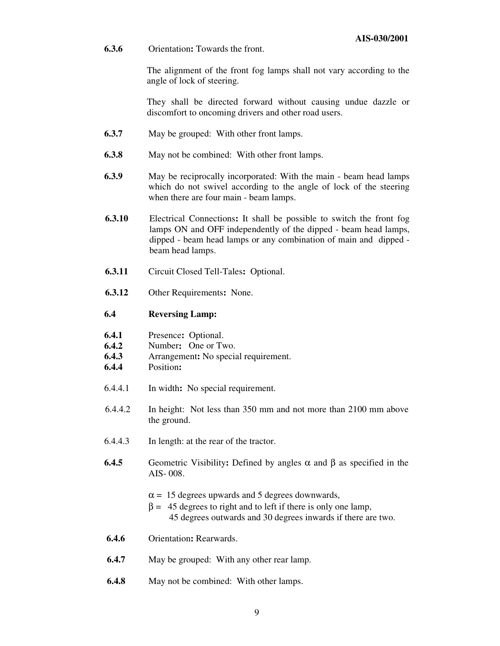**6.3.6** Orientation**:** Towards the front.

The alignment of the front fog lamps shall not vary according to the angle of lock of steering.

They shall be directed forward without causing undue dazzle or discomfort to oncoming drivers and other road users.

- **6.3.7** May be grouped: With other front lamps.
- **6.3.8** May not be combined: With other front lamps.
- **6.3.9** May be reciprocally incorporated: With the main beam head lamps which do not swivel according to the angle of lock of the steering when there are four main - beam lamps.
- **6.3.10** Electrical Connections**:** It shall be possible to switch the front fog lamps ON and OFF independently of the dipped - beam head lamps, dipped - beam head lamps or any combination of main and dipped beam head lamps.
- **6.3.11** Circuit Closed Tell-Tales**:** Optional.
- **6.3.12** Other Requirements**:** None.

#### **6.4 Reversing Lamp:**

| 6.4.1 | Presence: Optional. |  |
|-------|---------------------|--|
|-------|---------------------|--|

- **6.4.2** Number**:** One or Two.
- **6.4.3** Arrangement**:** No special requirement.
- **6.4.4** Position**:**
- 6.4.4.1 In width**:** No special requirement.
- 6.4.4.2 In height: Not less than 350 mm and not more than 2100 mm above the ground.
- 6.4.4.3 In length: at the rear of the tractor.
- **6.4.5** Geometric Visibility**:** Defined by angles α and β as specified in the AIS- 008.
	- $\alpha$  = 15 degrees upwards and 5 degrees downwards,
	- $β = 45$  degrees to right and to left if there is only one lamp, 45 degrees outwards and 30 degrees inwards if there are two.
- **6.4.6** Orientation**:** Rearwards.
- **6.4.7** May be grouped: With any other rear lamp.
- **6.4.8** May not be combined: With other lamps.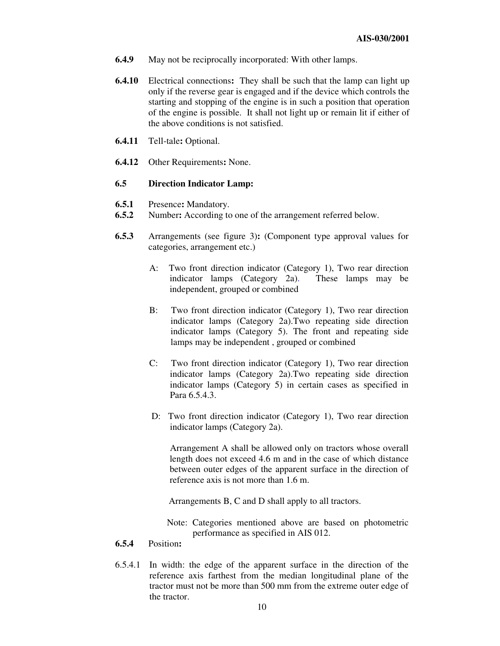- **6.4.9** May not be reciprocally incorporated: With other lamps.
- **6.4.10** Electrical connections**:** They shall be such that the lamp can light up only if the reverse gear is engaged and if the device which controls the starting and stopping of the engine is in such a position that operation of the engine is possible. It shall not light up or remain lit if either of the above conditions is not satisfied.
- **6.4.11** Tell-tale**:** Optional.
- **6.4.12** Other Requirements**:** None.

#### **6.5 Direction Indicator Lamp:**

- **6.5.1** Presence: Mandatory.<br>**6.5.2** Number: According to
- **6.5.2** Number**:** According to one of the arrangement referred below.
- **6.5.3** Arrangements (see figure 3)**:** (Component type approval values for categories, arrangement etc.)
	- A: Two front direction indicator (Category 1), Two rear direction indicator lamps (Category 2a). These lamps may be independent, grouped or combined
	- B: Two front direction indicator (Category 1), Two rear direction indicator lamps (Category 2a).Two repeating side direction indicator lamps (Category 5). The front and repeating side lamps may be independent , grouped or combined
	- C: Two front direction indicator (Category 1), Two rear direction indicator lamps (Category 2a).Two repeating side direction indicator lamps (Category 5) in certain cases as specified in Para 6.5.4.3.
	- D: Two front direction indicator (Category 1), Two rear direction indicator lamps (Category 2a).

Arrangement A shall be allowed only on tractors whose overall length does not exceed 4.6 m and in the case of which distance between outer edges of the apparent surface in the direction of reference axis is not more than 1.6 m.

Arrangements B, C and D shall apply to all tractors.

- Note: Categories mentioned above are based on photometric performance as specified in AIS 012.
- **6.5.4** Position**:**
- 6.5.4.1 In width: the edge of the apparent surface in the direction of the reference axis farthest from the median longitudinal plane of the tractor must not be more than 500 mm from the extreme outer edge of the tractor.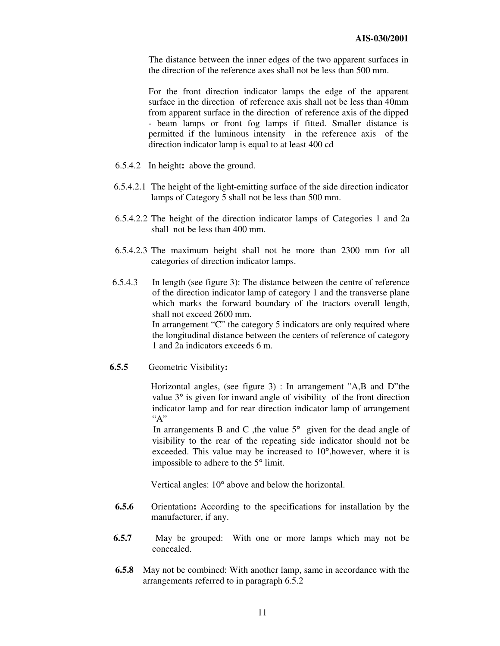The distance between the inner edges of the two apparent surfaces in the direction of the reference axes shall not be less than 500 mm.

For the front direction indicator lamps the edge of the apparent surface in the direction of reference axis shall not be less than 40mm from apparent surface in the direction of reference axis of the dipped - beam lamps or front fog lamps if fitted. Smaller distance is permitted if the luminous intensity in the reference axis of the direction indicator lamp is equal to at least 400 cd

- 6.5.4.2 In height**:** above the ground.
- 6.5.4.2.1 The height of the light-emitting surface of the side direction indicator lamps of Category 5 shall not be less than 500 mm.
- 6.5.4.2.2 The height of the direction indicator lamps of Categories 1 and 2a shall not be less than 400 mm.
- 6.5.4.2.3 The maximum height shall not be more than 2300 mm for all categories of direction indicator lamps.
- 6.5.4.3 In length (see figure 3): The distance between the centre of reference of the direction indicator lamp of category 1 and the transverse plane which marks the forward boundary of the tractors overall length, shall not exceed 2600 mm. In arrangement "C" the category 5 indicators are only required where the longitudinal distance between the centers of reference of category 1 and 2a indicators exceeds 6 m.
- **6.5.5** Geometric Visibility**:**

Horizontal angles, (see figure 3) : In arrangement "A,B and D"the value 3° is given for inward angle of visibility of the front direction indicator lamp and for rear direction indicator lamp of arrangement  $``A"$ 

In arrangements B and C , the value  $5^\circ$  given for the dead angle of visibility to the rear of the repeating side indicator should not be exceeded. This value may be increased to 10°,however, where it is impossible to adhere to the 5° limit.

Vertical angles: 10° above and below the horizontal.

- **6.5.6** Orientation**:** According to the specifications for installation by the manufacturer, if any.
- **6.5.7** May be grouped: With one or more lamps which may not be concealed.
- **6.5.8** May not be combined: With another lamp, same in accordance with the arrangements referred to in paragraph 6.5.2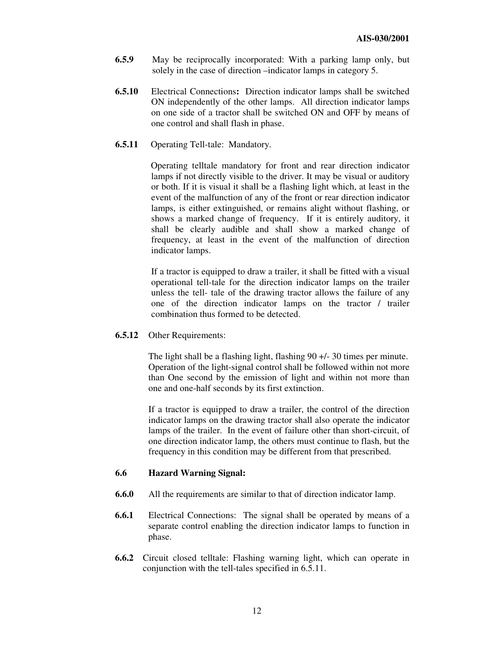- **6.5.9** May be reciprocally incorporated: With a parking lamp only, but solely in the case of direction –indicator lamps in category 5.
- **6.5.10** Electrical Connections**:** Direction indicator lamps shall be switched ON independently of the other lamps. All direction indicator lamps on one side of a tractor shall be switched ON and OFF by means of one control and shall flash in phase.
- **6.5.11** Operating Tell-tale: Mandatory.

Operating telltale mandatory for front and rear direction indicator lamps if not directly visible to the driver. It may be visual or auditory or both. If it is visual it shall be a flashing light which, at least in the event of the malfunction of any of the front or rear direction indicator lamps, is either extinguished, or remains alight without flashing, or shows a marked change of frequency. If it is entirely auditory, it shall be clearly audible and shall show a marked change of frequency, at least in the event of the malfunction of direction indicator lamps.

If a tractor is equipped to draw a trailer, it shall be fitted with a visual operational tell-tale for the direction indicator lamps on the trailer unless the tell- tale of the drawing tractor allows the failure of any one of the direction indicator lamps on the tractor / trailer combination thus formed to be detected.

**6.5.12** Other Requirements:

The light shall be a flashing light, flashing 90 +/- 30 times per minute. Operation of the light-signal control shall be followed within not more than One second by the emission of light and within not more than one and one-half seconds by its first extinction.

If a tractor is equipped to draw a trailer, the control of the direction indicator lamps on the drawing tractor shall also operate the indicator lamps of the trailer. In the event of failure other than short-circuit, of one direction indicator lamp, the others must continue to flash, but the frequency in this condition may be different from that prescribed.

#### **6.6 Hazard Warning Signal:**

- **6.6.0** All the requirements are similar to that of direction indicator lamp.
- **6.6.1** Electrical Connections: The signal shall be operated by means of a separate control enabling the direction indicator lamps to function in phase.
- **6.6.2** Circuit closed telltale: Flashing warning light, which can operate in conjunction with the tell-tales specified in 6.5.11.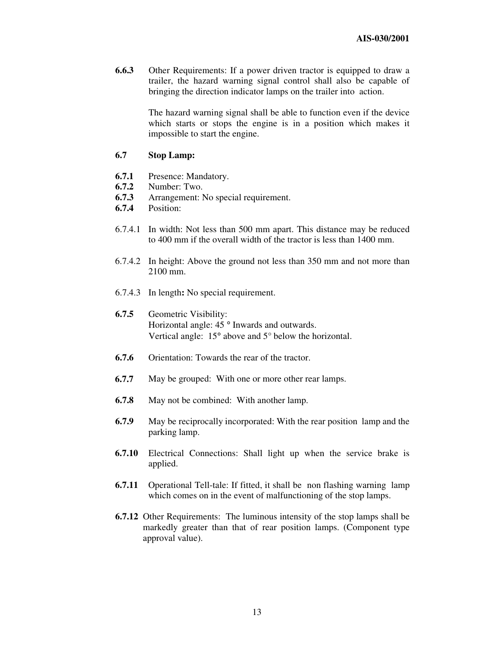**6.6.3** Other Requirements: If a power driven tractor is equipped to draw a trailer, the hazard warning signal control shall also be capable of bringing the direction indicator lamps on the trailer into action.

> The hazard warning signal shall be able to function even if the device which starts or stops the engine is in a position which makes it impossible to start the engine.

#### **6.7 Stop Lamp:**

- **6.7.1** Presence: Mandatory.
- **6.7.2** Number: Two.<br>**6.7.3** Arrangement: 1
- **6.7.3** Arrangement: No special requirement.
- **6.7.4** Position:
- 6.7.4.1 In width: Not less than 500 mm apart. This distance may be reduced to 400 mm if the overall width of the tractor is less than 1400 mm.
- 6.7.4.2 In height: Above the ground not less than 350 mm and not more than 2100 mm.
- 6.7.4.3 In length**:** No special requirement.
- **6.7.5** Geometric Visibility: Horizontal angle: 45 ° Inwards and outwards. Vertical angle: 15° above and 5° below the horizontal.
- **6.7.6** Orientation: Towards the rear of the tractor.
- **6.7.7** May be grouped: With one or more other rear lamps.
- **6.7.8** May not be combined: With another lamp.
- **6.7.9** May be reciprocally incorporated: With the rear position lamp and the parking lamp.
- **6.7.10** Electrical Connections: Shall light up when the service brake is applied.
- **6.7.11** Operational Tell-tale: If fitted, it shall be non flashing warning lamp which comes on in the event of malfunctioning of the stop lamps.
- **6.7.12** Other Requirements: The luminous intensity of the stop lamps shall be markedly greater than that of rear position lamps. (Component type approval value).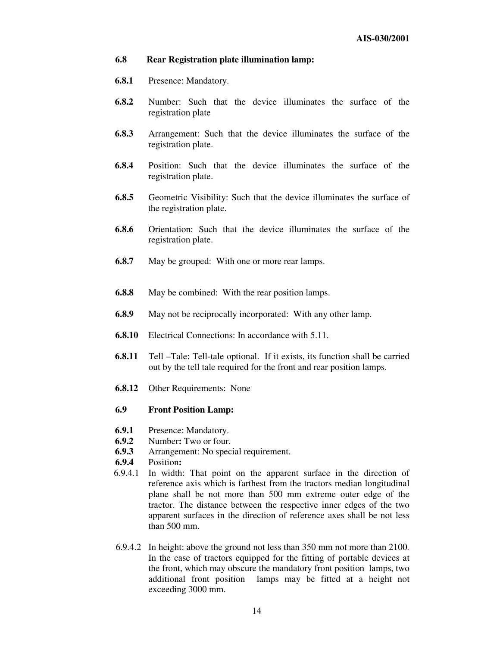#### **6.8 Rear Registration plate illumination lamp:**

- **6.8.1** Presence: Mandatory.
- **6.8.2** Number: Such that the device illuminates the surface of the registration plate
- **6.8.3** Arrangement: Such that the device illuminates the surface of the registration plate.
- **6.8.4** Position: Such that the device illuminates the surface of the registration plate.
- **6.8.5** Geometric Visibility: Such that the device illuminates the surface of the registration plate.
- **6.8.6** Orientation: Such that the device illuminates the surface of the registration plate.
- **6.8.7** May be grouped: With one or more rear lamps.
- **6.8.8** May be combined: With the rear position lamps.
- **6.8.9** May not be reciprocally incorporated: With any other lamp.
- **6.8.10** Electrical Connections: In accordance with 5.11.
- **6.8.11** Tell –Tale: Tell-tale optional. If it exists, its function shall be carried out by the tell tale required for the front and rear position lamps.
- **6.8.12** Other Requirements: None

#### **6.9 Front Position Lamp:**

- **6.9.1** Presence: Mandatory.
- **6.9.2** Number: Two or four.<br>**6.9.3** Arrangement: No spec
- **6.9.3** Arrangement: No special requirement.<br>**6.9.4** Position:
- **6.9.4** Position**:**
- 6.9.4.1 In width: That point on the apparent surface in the direction of reference axis which is farthest from the tractors median longitudinal plane shall be not more than 500 mm extreme outer edge of the tractor. The distance between the respective inner edges of the two apparent surfaces in the direction of reference axes shall be not less than 500 mm.
- 6.9.4.2 In height: above the ground not less than 350 mm not more than 2100. In the case of tractors equipped for the fitting of portable devices at the front, which may obscure the mandatory front position lamps, two additional front position lamps may be fitted at a height not exceeding 3000 mm.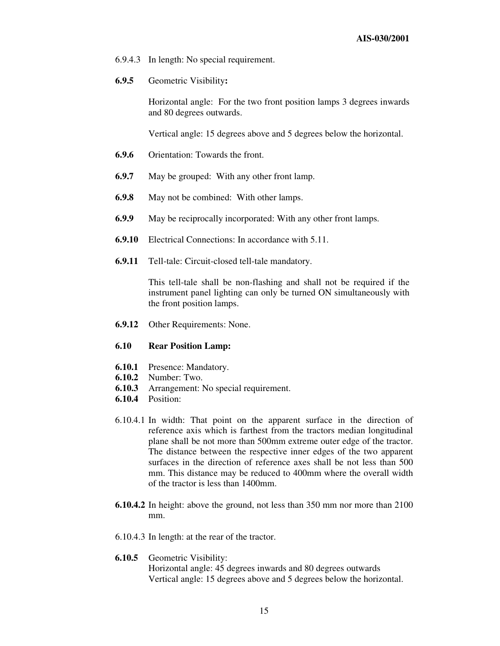- 6.9.4.3 In length: No special requirement.
- **6.9.5** Geometric Visibility**:**

Horizontal angle: For the two front position lamps 3 degrees inwards and 80 degrees outwards.

Vertical angle: 15 degrees above and 5 degrees below the horizontal.

- **6.9.6** Orientation: Towards the front.
- **6.9.7** May be grouped: With any other front lamp.
- **6.9.8** May not be combined: With other lamps.
- **6.9.9** May be reciprocally incorporated: With any other front lamps.
- **6.9.10** Electrical Connections: In accordance with 5.11.
- **6.9.11** Tell-tale: Circuit-closed tell-tale mandatory.

This tell-tale shall be non-flashing and shall not be required if the instrument panel lighting can only be turned ON simultaneously with the front position lamps.

**6.9.12** Other Requirements: None.

#### **6.10 Rear Position Lamp:**

- **6.10.1** Presence: Mandatory.
- **6.10.2** Number: Two.
- **6.10.3** Arrangement: No special requirement.
- **6.10.4** Position:
- 6.10.4.1 In width: That point on the apparent surface in the direction of reference axis which is farthest from the tractors median longitudinal plane shall be not more than 500mm extreme outer edge of the tractor. The distance between the respective inner edges of the two apparent surfaces in the direction of reference axes shall be not less than 500 mm. This distance may be reduced to 400mm where the overall width of the tractor is less than 1400mm.
- **6.10.4.2** In height: above the ground, not less than 350 mm nor more than 2100 mm.
- 6.10.4.3 In length: at the rear of the tractor.
- **6.10.5** Geometric Visibility: Horizontal angle: 45 degrees inwards and 80 degrees outwards Vertical angle: 15 degrees above and 5 degrees below the horizontal.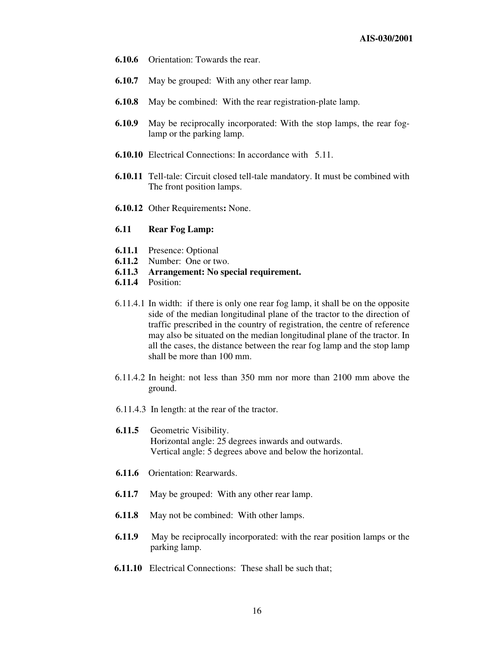- **6.10.6** Orientation: Towards the rear.
- **6.10.7** May be grouped: With any other rear lamp.
- **6.10.8** May be combined: With the rear registration-plate lamp.
- **6.10.9** May be reciprocally incorporated: With the stop lamps, the rear foglamp or the parking lamp.
- **6.10.10** Electrical Connections: In accordance with 5.11.
- **6.10.11** Tell-tale: Circuit closed tell-tale mandatory. It must be combined with The front position lamps.
- **6.10.12** Other Requirements**:** None.
- **6.11 Rear Fog Lamp:**
- **6.11.1** Presence: Optional
- **6.11.2** Number: One or two.
- **6.11.3 Arrangement: No special requirement.**
- **6.11.4** Position:
- 6.11.4.1 In width: if there is only one rear fog lamp, it shall be on the opposite side of the median longitudinal plane of the tractor to the direction of traffic prescribed in the country of registration, the centre of reference may also be situated on the median longitudinal plane of the tractor. In all the cases, the distance between the rear fog lamp and the stop lamp shall be more than 100 mm.
- 6.11.4.2 In height: not less than 350 mm nor more than 2100 mm above the ground.
- 6.11.4.3 In length: at the rear of the tractor.
- **6.11.5** Geometric Visibility. Horizontal angle: 25 degrees inwards and outwards. Vertical angle: 5 degrees above and below the horizontal.
- **6.11.6** Orientation: Rearwards.
- **6.11.7** May be grouped: With any other rear lamp.
- **6.11.8** May not be combined: With other lamps.
- **6.11.9** May be reciprocally incorporated: with the rear position lamps or the parking lamp.
- **6.11.10** Electrical Connections: These shall be such that;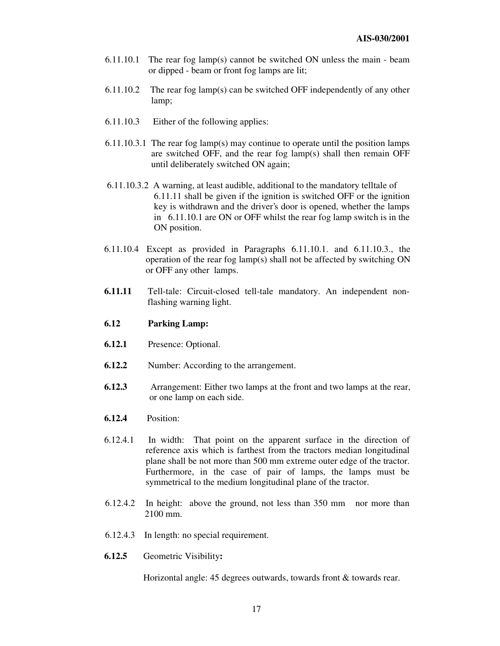- 6.11.10.1 The rear fog lamp(s) cannot be switched ON unless the main beam or dipped - beam or front fog lamps are lit;
- 6.11.10.2 The rear fog lamp(s) can be switched OFF independently of any other lamp;
- 6.11.10.3 Either of the following applies:
- 6.11.10.3.1 The rear fog lamp(s) may continue to operate until the position lamps are switched OFF, and the rear fog lamp(s) shall then remain OFF until deliberately switched ON again;
- 6.11.10.3.2 A warning, at least audible, additional to the mandatory telltale of 6.11.11 shall be given if the ignition is switched OFF or the ignition key is withdrawn and the driver's door is opened, whether the lamps in 6.11.10.1 are ON or OFF whilst the rear fog lamp switch is in the ON position.
- 6.11.10.4 Except as provided in Paragraphs 6.11.10.1. and 6.11.10.3., the operation of the rear fog lamp(s) shall not be affected by switching ON or OFF any other lamps.
- **6.11.11** Tell-tale: Circuit-closed tell-tale mandatory. An independent nonflashing warning light.
- **6.12 Parking Lamp:**
- **6.12.1** Presence: Optional.
- **6.12.2** Number: According to the arrangement.
- **6.12.3** Arrangement: Either two lamps at the front and two lamps at the rear, or one lamp on each side.
- **6.12.4** Position:
- 6.12.4.1 In width: That point on the apparent surface in the direction of reference axis which is farthest from the tractors median longitudinal plane shall be not more than 500 mm extreme outer edge of the tractor. Furthermore, in the case of pair of lamps, the lamps must be symmetrical to the medium longitudinal plane of the tractor.
- 6.12.4.2 In height: above the ground, not less than 350 mm nor more than 2100 mm.
- 6.12.4.3 In length: no special requirement.
- **6.12.5** Geometric Visibility**:**

Horizontal angle: 45 degrees outwards, towards front & towards rear.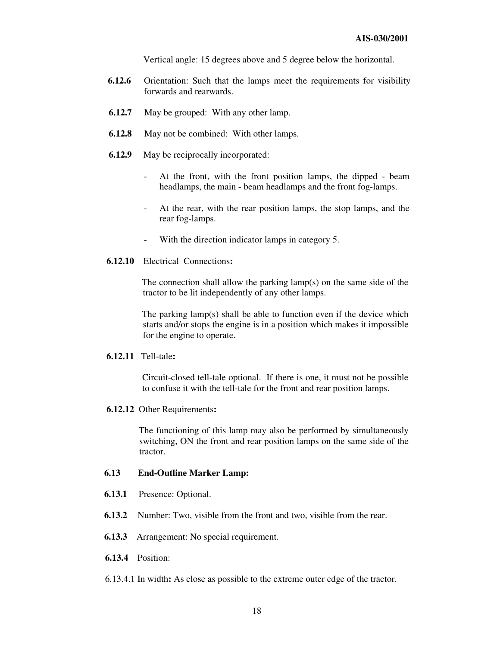Vertical angle: 15 degrees above and 5 degree below the horizontal.

- **6.12.6** Orientation: Such that the lamps meet the requirements for visibility forwards and rearwards.
- **6.12.7** May be grouped: With any other lamp.
- **6.12.8** May not be combined: With other lamps.
- **6.12.9** May be reciprocally incorporated:
	- At the front, with the front position lamps, the dipped beam headlamps, the main - beam headlamps and the front fog-lamps.
	- At the rear, with the rear position lamps, the stop lamps, and the rear fog-lamps.
	- With the direction indicator lamps in category 5.
- **6.12.10** Electrical Connections**:**

The connection shall allow the parking lamp(s) on the same side of the tractor to be lit independently of any other lamps.

The parking lamp(s) shall be able to function even if the device which starts and/or stops the engine is in a position which makes it impossible for the engine to operate.

#### **6.12.11** Tell-tale**:**

Circuit-closed tell-tale optional. If there is one, it must not be possible to confuse it with the tell-tale for the front and rear position lamps.

#### **6.12.12** Other Requirements**:**

The functioning of this lamp may also be performed by simultaneously switching, ON the front and rear position lamps on the same side of the tractor.

#### **6.13 End-Outline Marker Lamp:**

- **6.13.1** Presence: Optional.
- **6.13.2** Number: Two, visible from the front and two, visible from the rear.
- **6.13.3** Arrangement: No special requirement.
- **6.13.4** Position:
- 6.13.4.1 In width**:** As close as possible to the extreme outer edge of the tractor.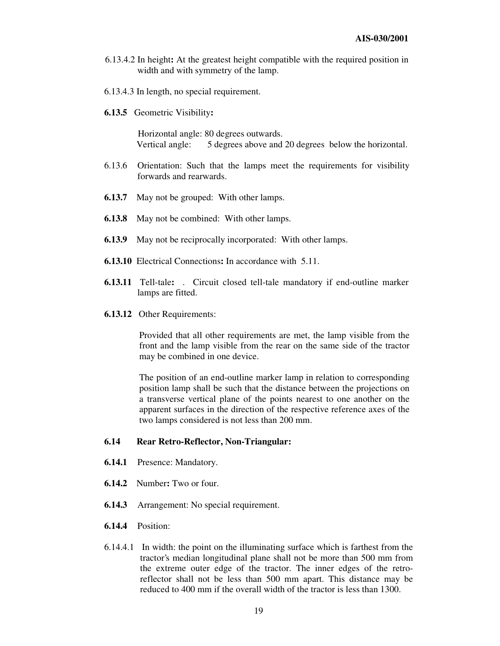- 6.13.4.2 In height**:** At the greatest height compatible with the required position in width and with symmetry of the lamp.
- 6.13.4.3 In length, no special requirement.
- **6.13.5** Geometric Visibility**:**

Horizontal angle: 80 degrees outwards. Vertical angle: 5 degrees above and 20 degrees below the horizontal.

- 6.13.6 Orientation: Such that the lamps meet the requirements for visibility forwards and rearwards.
- **6.13.7** May not be grouped: With other lamps.
- **6.13.8** May not be combined: With other lamps.
- **6.13.9** May not be reciprocally incorporated: With other lamps.
- **6.13.10** Electrical Connections**:** In accordance with 5.11.
- **6.13.11** Tell-tale**:** . Circuit closed tell-tale mandatory if end-outline marker lamps are fitted.
- **6.13.12** Other Requirements:

Provided that all other requirements are met, the lamp visible from the front and the lamp visible from the rear on the same side of the tractor may be combined in one device.

The position of an end-outline marker lamp in relation to corresponding position lamp shall be such that the distance between the projections on a transverse vertical plane of the points nearest to one another on the apparent surfaces in the direction of the respective reference axes of the two lamps considered is not less than 200 mm.

#### **6.14 Rear Retro-Reflector, Non-Triangular:**

- **6.14.1** Presence: Mandatory.
- **6.14.2** Number**:** Two or four.
- **6.14.3** Arrangement: No special requirement.
- **6.14.4** Position:
- 6.14.4.1 In width: the point on the illuminating surface which is farthest from the tractor's median longitudinal plane shall not be more than 500 mm from the extreme outer edge of the tractor. The inner edges of the retroreflector shall not be less than 500 mm apart. This distance may be reduced to 400 mm if the overall width of the tractor is less than 1300.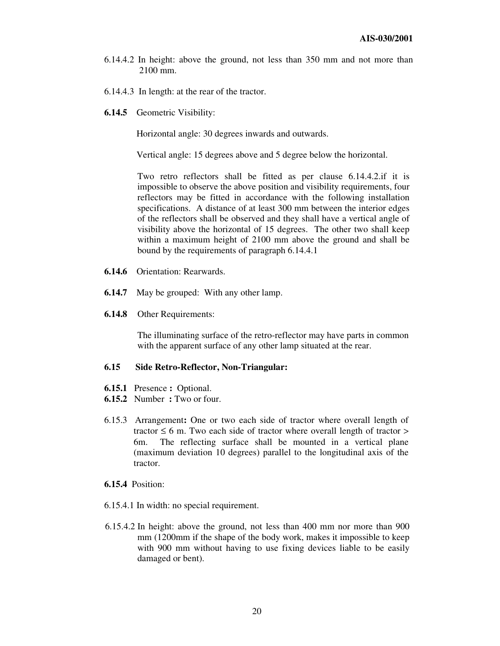- 6.14.4.2 In height: above the ground, not less than 350 mm and not more than 2100 mm.
- 6.14.4.3 In length: at the rear of the tractor.
- **6.14.5** Geometric Visibility:

Horizontal angle: 30 degrees inwards and outwards.

Vertical angle: 15 degrees above and 5 degree below the horizontal.

Two retro reflectors shall be fitted as per clause 6.14.4.2.if it is impossible to observe the above position and visibility requirements, four reflectors may be fitted in accordance with the following installation specifications. A distance of at least 300 mm between the interior edges of the reflectors shall be observed and they shall have a vertical angle of visibility above the horizontal of 15 degrees. The other two shall keep within a maximum height of 2100 mm above the ground and shall be bound by the requirements of paragraph 6.14.4.1

- **6.14.6** Orientation: Rearwards.
- **6.14.7** May be grouped: With any other lamp.
- **6.14.8** Other Requirements:

The illuminating surface of the retro-reflector may have parts in common with the apparent surface of any other lamp situated at the rear.

#### **6.15 Side Retro-Reflector, Non-Triangular:**

- **6.15.1** Presence **:** Optional.
- **6.15.2** Number **:** Two or four.
- 6.15.3 Arrangement**:** One or two each side of tractor where overall length of tractor  $\leq 6$  m. Two each side of tractor where overall length of tractor  $>$ 6m. The reflecting surface shall be mounted in a vertical plane (maximum deviation 10 degrees) parallel to the longitudinal axis of the tractor.
- **6.15.4** Position:
- 6.15.4.1 In width: no special requirement.
- 6.15.4.2 In height: above the ground, not less than 400 mm nor more than 900 mm (1200mm if the shape of the body work, makes it impossible to keep with 900 mm without having to use fixing devices liable to be easily damaged or bent).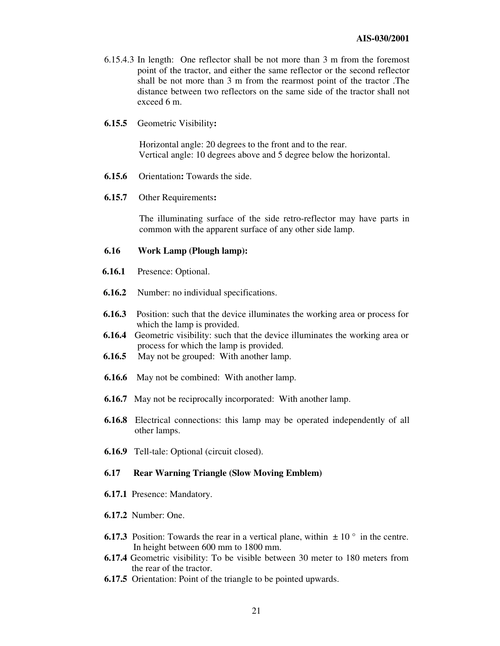- 6.15.4.3 In length: One reflector shall be not more than 3 m from the foremost point of the tractor, and either the same reflector or the second reflector shall be not more than 3 m from the rearmost point of the tractor .The distance between two reflectors on the same side of the tractor shall not exceed 6 m.
- **6.15.5** Geometric Visibility**:**

Horizontal angle: 20 degrees to the front and to the rear. Vertical angle: 10 degrees above and 5 degree below the horizontal.

- **6.15.6** Orientation**:** Towards the side.
- **6.15.7** Other Requirements**:**

The illuminating surface of the side retro-reflector may have parts in common with the apparent surface of any other side lamp.

#### **6.16 Work Lamp (Plough lamp):**

- **6.16.1** Presence: Optional.
- **6.16.2** Number: no individual specifications.
- **6.16.3** Position: such that the device illuminates the working area or process for which the lamp is provided.
- **6.16.4** Geometric visibility: such that the device illuminates the working area or process for which the lamp is provided.
- **6.16.5** May not be grouped: With another lamp.
- **6.16.6** May not be combined: With another lamp.
- **6.16.7** May not be reciprocally incorporated: With another lamp.
- **6.16.8** Electrical connections: this lamp may be operated independently of all other lamps.
- **6.16.9** Tell-tale: Optional (circuit closed).

#### **6.17 Rear Warning Triangle (Slow Moving Emblem)**

- **6.17.1** Presence: Mandatory.
- **6.17.2** Number: One.
- **6.17.3** Position: Towards the rear in a vertical plane, within  $\pm 10^{\circ}$  in the centre. In height between 600 mm to 1800 mm.
- **6.17.4** Geometric visibility: To be visible between 30 meter to 180 meters from the rear of the tractor.
- **6.17.5** Orientation: Point of the triangle to be pointed upwards.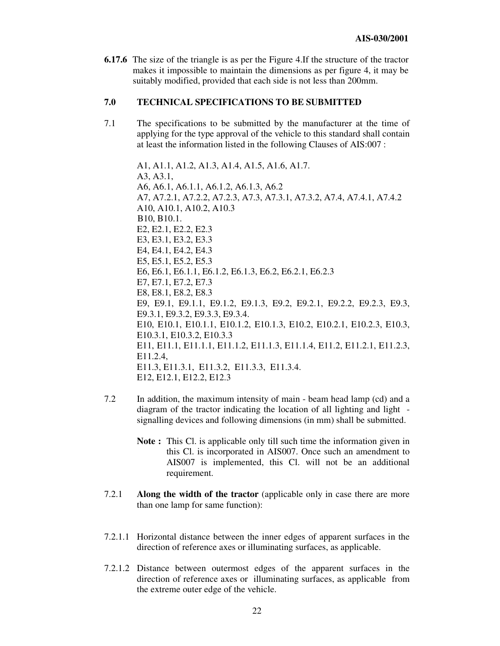**6.17.6** The size of the triangle is as per the Figure 4.If the structure of the tractor makes it impossible to maintain the dimensions as per figure 4, it may be suitably modified, provided that each side is not less than 200mm.

#### **7.0 TECHNICAL SPECIFICATIONS TO BE SUBMITTED**

7.1 The specifications to be submitted by the manufacturer at the time of applying for the type approval of the vehicle to this standard shall contain at least the information listed in the following Clauses of AIS:007 :

A1, A1.1, A1.2, A1.3, A1.4, A1.5, A1.6, A1.7. A3, A3.1, A6, A6.1, A6.1.1, A6.1.2, A6.1.3, A6.2 A7, A7.2.1, A7.2.2, A7.2.3, A7.3, A7.3.1, A7.3.2, A7.4, A7.4.1, A7.4.2 A10, A10.1, A10.2, A10.3 B10, B10.1. E2, E2.1, E2.2, E2.3 E3, E3.1, E3.2, E3.3 E4, E4.1, E4.2, E4.3 E5, E5.1, E5.2, E5.3 E6, E6.1, E6.1.1, E6.1.2, E6.1.3, E6.2, E6.2.1, E6.2.3 E7, E7.1, E7.2, E7.3 E8, E8.1, E8.2, E8.3 E9, E9.1, E9.1.1, E9.1.2, E9.1.3, E9.2, E9.2.1, E9.2.2, E9.2.3, E9.3, E9.3.1, E9.3.2, E9.3.3, E9.3.4. E10, E10.1, E10.1.1, E10.1.2, E10.1.3, E10.2, E10.2.1, E10.2.3, E10.3, E10.3.1, E10.3.2, E10.3.3 E11, E11.1, E11.1.1, E11.1.2, E11.1.3, E11.1.4, E11.2, E11.2.1, E11.2.3, E11.2.4, E11.3, E11.3.1, E11.3.2, E11.3.3, E11.3.4. E12, E12.1, E12.2, E12.3

- 7.2 In addition, the maximum intensity of main beam head lamp (cd) and a diagram of the tractor indicating the location of all lighting and light signalling devices and following dimensions (in mm) shall be submitted.
	- **Note :** This Cl. is applicable only till such time the information given in this Cl. is incorporated in AIS007. Once such an amendment to AIS007 is implemented, this Cl. will not be an additional requirement.
- 7.2.1 **Along the width of the tractor** (applicable only in case there are more than one lamp for same function):
- 7.2.1.1 Horizontal distance between the inner edges of apparent surfaces in the direction of reference axes or illuminating surfaces, as applicable.
- 7.2.1.2 Distance between outermost edges of the apparent surfaces in the direction of reference axes or illuminating surfaces, as applicable from the extreme outer edge of the vehicle.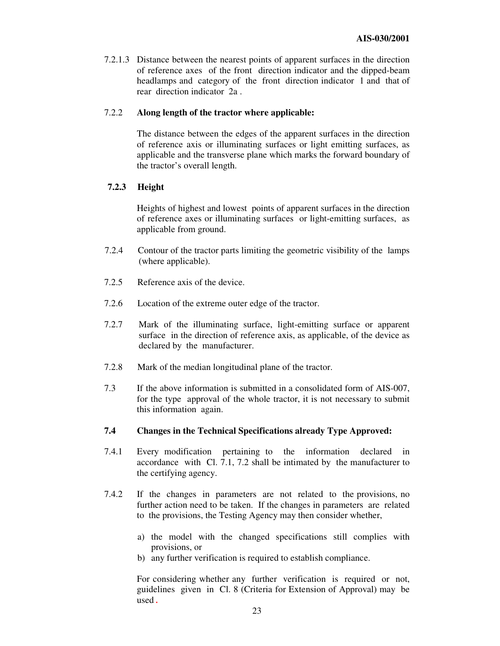7.2.1.3 Distance between the nearest points of apparent surfaces in the direction of reference axes of the front direction indicator and the dipped-beam headlamps and category of the front direction indicator 1 and that of rear direction indicator 2a .

#### 7.2.2 **Along length of the tractor where applicable:**

The distance between the edges of the apparent surfaces in the direction of reference axis or illuminating surfaces or light emitting surfaces, as applicable and the transverse plane which marks the forward boundary of the tractor's overall length.

#### **7.2.3 Height**

Heights of highest and lowest points of apparent surfaces in the direction of reference axes or illuminating surfaces or light-emitting surfaces, as applicable from ground.

- 7.2.4 Contour of the tractor parts limiting the geometric visibility of the lamps (where applicable).
- 7.2.5 Reference axis of the device.
- 7.2.6 Location of the extreme outer edge of the tractor.
- 7.2.7 Mark of the illuminating surface, light-emitting surface or apparent surface in the direction of reference axis, as applicable, of the device as declared by the manufacturer.
- 7.2.8 Mark of the median longitudinal plane of the tractor.
- 7.3 If the above information is submitted in a consolidated form of AIS-007, for the type approval of the whole tractor, it is not necessary to submit this information again.

#### **7.4 Changes in the Technical Specifications already Type Approved:**

- 7.4.1 Every modification pertaining to the information declared in accordance with Cl. 7.1, 7.2 shall be intimated by the manufacturer to the certifying agency.
- 7.4.2 If the changes in parameters are not related to the provisions, no further action need to be taken. If the changes in parameters are related to the provisions, the Testing Agency may then consider whether,
	- a) the model with the changed specifications still complies with provisions, or
	- b) any further verification is required to establish compliance.

For considering whether any further verification is required or not, guidelines given in Cl. 8 (Criteria for Extension of Approval) may be used *.*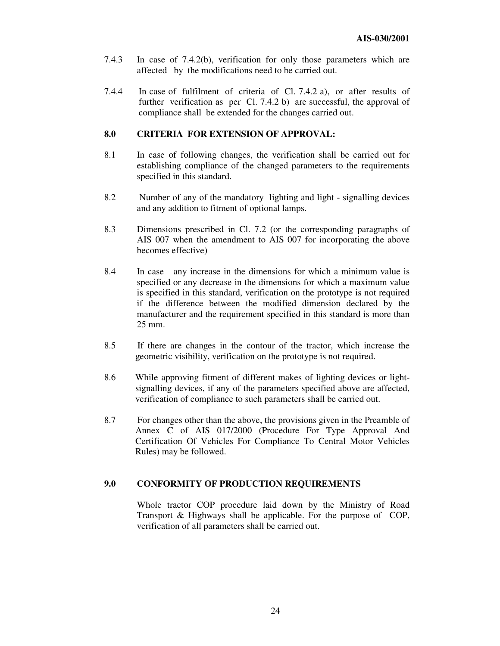- 7.4.3 In case of 7.4.2(b), verification for only those parameters which are affected by the modifications need to be carried out.
- 7.4.4 In case of fulfilment of criteria of Cl. 7.4.2 a), or after results of further verification as per Cl. 7.4.2 b) are successful, the approval of compliance shall be extended for the changes carried out.

#### **8.0 CRITERIA FOR EXTENSION OF APPROVAL:**

- 8.1 In case of following changes, the verification shall be carried out for establishing compliance of the changed parameters to the requirements specified in this standard.
- 8.2 Number of any of the mandatory lighting and light signalling devices and any addition to fitment of optional lamps.
- 8.3 Dimensions prescribed in Cl. 7.2 (or the corresponding paragraphs of AIS 007 when the amendment to AIS 007 for incorporating the above becomes effective)
- 8.4 In case any increase in the dimensions for which a minimum value is specified or any decrease in the dimensions for which a maximum value is specified in this standard, verification on the prototype is not required if the difference between the modified dimension declared by the manufacturer and the requirement specified in this standard is more than 25 mm.
- 8.5 If there are changes in the contour of the tractor, which increase the geometric visibility, verification on the prototype is not required.
- 8.6 While approving fitment of different makes of lighting devices or lightsignalling devices, if any of the parameters specified above are affected, verification of compliance to such parameters shall be carried out.
- 8.7 For changes other than the above, the provisions given in the Preamble of Annex C of AIS 017/2000 (Procedure For Type Approval And Certification Of Vehicles For Compliance To Central Motor Vehicles Rules) may be followed.

#### **9.0 CONFORMITY OF PRODUCTION REQUIREMENTS**

Whole tractor COP procedure laid down by the Ministry of Road Transport & Highways shall be applicable. For the purpose of COP, verification of all parameters shall be carried out.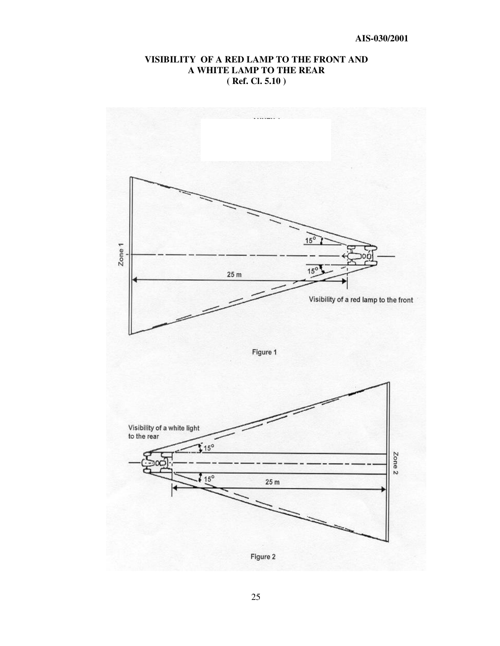## **VISIBILITY OF A RED LAMP TO THE FRONT AND A WHITE LAMP TO THE REAR ( Ref. Cl. 5.10 )**

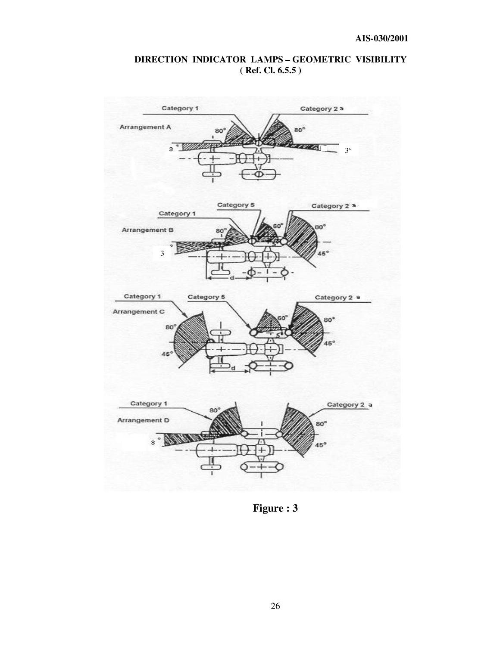# **DIRECTION INDICATOR LAMPS – GEOMETRIC VISIBILITY ( Ref. Cl. 6.5.5 )**



**Figure : 3**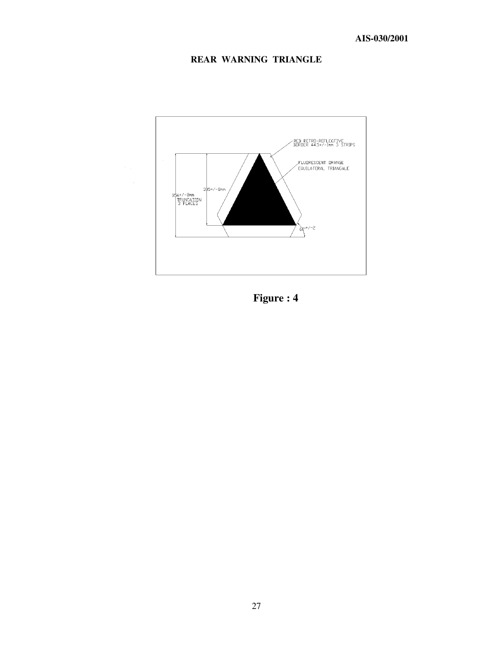# **REAR WARNING TRIANGLE**



**Figure : 4**